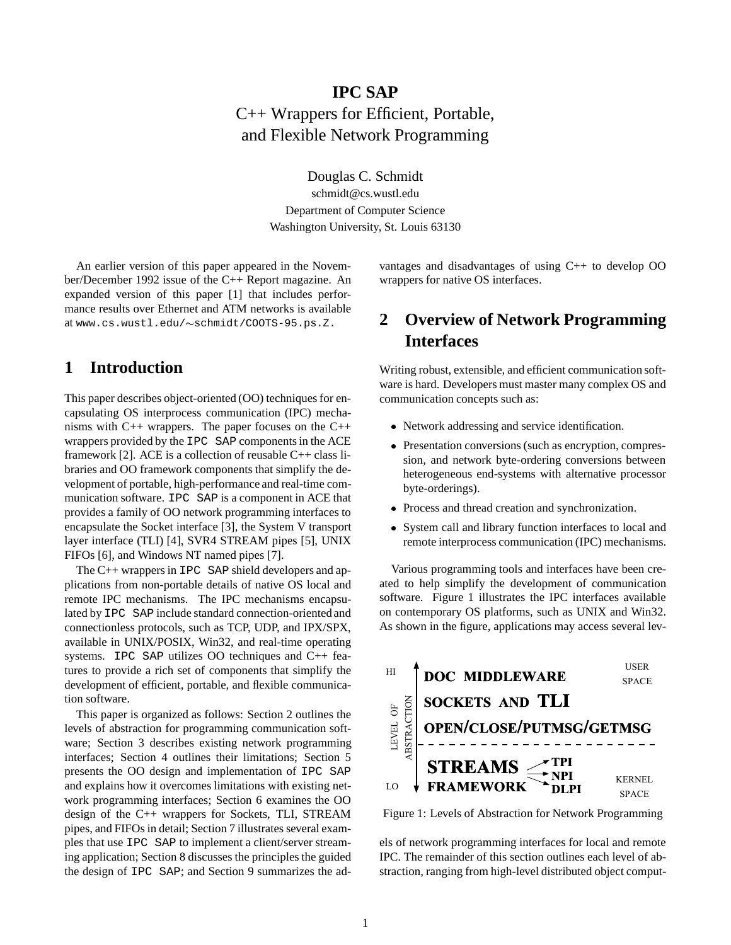# **IPC SAP** C++ Wrappers for Efficient, Portable, and Flexible Network Programming

Douglas C. Schmidt

schmidt@cs.wustl.edu Department of Computer Science Washington University, St. Louis 63130

An earlier version of this paper appeared in the November/December 1992 issue of the C++ Report magazine. An expanded version of this paper [1] that includes performance results over Ethernet and ATM networks is available at www.cs.wustl.edu/~schmidt/COOTS-95.ps.Z.

# **1 Introduction**

This paper describes object-oriented (OO) techniques for encapsulating OS interprocess communication (IPC) mechanisms with C++ wrappers. The paper focuses on the C++ wrappers provided by the IPC SAP components in the ACE framework [2]. ACE is a collection of reusable C++ class libraries and OO framework components that simplify the development of portable, high-performance and real-time communication software. IPC SAP is a component in ACE that provides a family of OO network programming interfaces to encapsulate the Socket interface [3], the System V transport layer interface (TLI) [4], SVR4 STREAM pipes [5], UNIX FIFOs [6], and Windows NT named pipes [7].

The C++ wrappers in IPC SAP shield developers and applications from non-portable details of native OS local and remote IPC mechanisms. The IPC mechanisms encapsulated by IPC SAP include standard connection-oriented and connectionless protocols, such as TCP, UDP, and IPX/SPX, available in UNIX/POSIX, Win32, and real-time operating systems. IPC SAP utilizes OO techniques and C++ features to provide a rich set of components that simplify the development of efficient, portable, and flexible communication software.

This paper is organized as follows: Section 2 outlines the levels of abstraction for programming communication software; Section 3 describes existing network programming interfaces; Section 4 outlines their limitations; Section 5 presents the OO design and implementation of IPC SAP and explains how it overcomes limitations with existing network programming interfaces; Section 6 examines the OO design of the C++ wrappers for Sockets, TLI, STREAM pipes, and FIFOs in detail; Section 7 illustrates several examples that use IPC SAP to implement a client/server streaming application; Section 8 discusses the principles the guided the design of IPC SAP; and Section 9 summarizes the advantages and disadvantages of using C++ to develop OO wrappers for native OS interfaces.

# **2 Overview of Network Programming Interfaces**

Writing robust, extensible, and efficient communication software is hard. Developers must master many complex OS and communication concepts such as:

- Network addressing and service identification.
- Presentation conversions (such as encryption, compression, and network byte-ordering conversions between heterogeneous end-systems with alternative processor byte-orderings).
- Process and thread creation and synchronization.
- System call and library function interfaces to local and remote interprocess communication (IPC) mechanisms.

Various programming tools and interfaces have been created to help simplify the development of communication software. Figure 1 illustrates the IPC interfaces available on contemporary OS platforms, such as UNIX and Win32. As shown in the figure, applications may access several lev-



Figure 1: Levels of Abstraction for Network Programming

els of network programming interfaces for local and remote IPC. The remainder of this section outlines each level of abstraction, ranging from high-level distributed object comput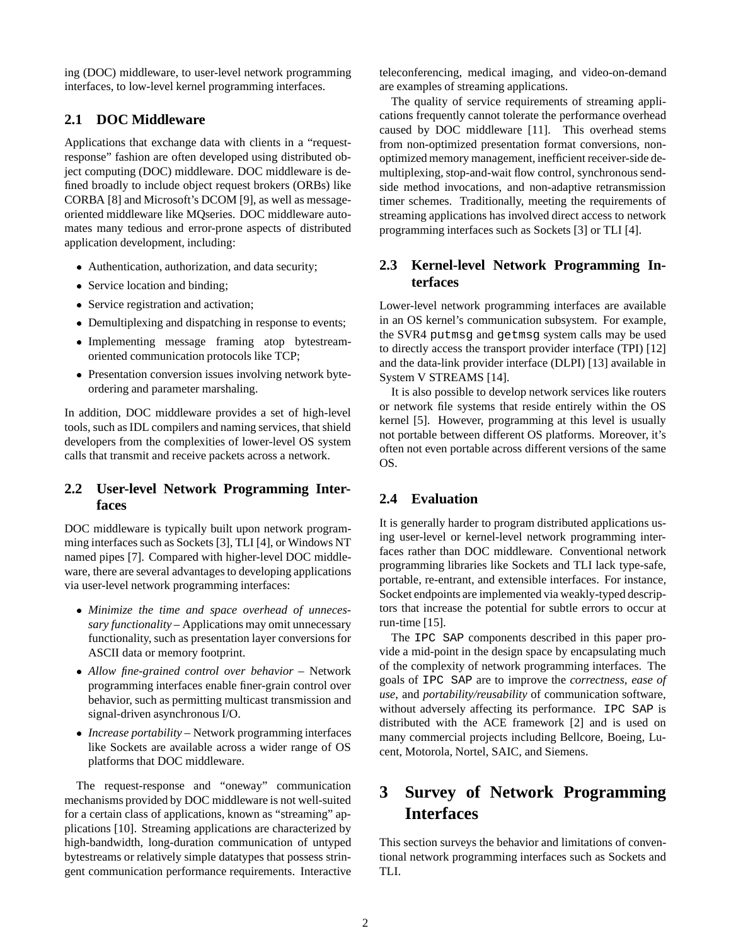ing (DOC) middleware, to user-level network programming interfaces, to low-level kernel programming interfaces.

# **2.1 DOC Middleware**

Applications that exchange data with clients in a "requestresponse" fashion are often developed using distributed object computing (DOC) middleware. DOC middleware is defined broadly to include object request brokers (ORBs) like CORBA [8] and Microsoft's DCOM [9], as well as messageoriented middleware like MQseries. DOC middleware automates many tedious and error-prone aspects of distributed application development, including:

- Authentication, authorization, and data security;
- Service location and binding;
- Service registration and activation;
- Demultiplexing and dispatching in response to events;
- Implementing message framing atop bytestreamoriented communication protocols like TCP;
- Presentation conversion issues involving network byteordering and parameter marshaling.

In addition, DOC middleware provides a set of high-level tools, such as IDL compilers and naming services, that shield developers from the complexities of lower-level OS system calls that transmit and receive packets across a network.

# **2.2 User-level Network Programming Interfaces**

DOC middleware is typically built upon network programming interfaces such as Sockets [3], TLI [4], or Windows NT named pipes [7]. Compared with higher-level DOC middleware, there are several advantages to developing applications via user-level network programming interfaces:

- *Minimize the time and space overhead of unnecessary functionality* – Applications may omit unnecessary functionality, such as presentation layer conversions for ASCII data or memory footprint.
- *Allow fine-grained control over behavior* Network programming interfaces enable finer-grain control over behavior, such as permitting multicast transmission and signal-driven asynchronous I/O.
- *Increase portability* Network programming interfaces like Sockets are available across a wider range of OS platforms that DOC middleware.

The request-response and "oneway" communication mechanisms provided by DOC middleware is not well-suited for a certain class of applications, known as "streaming" applications [10]. Streaming applications are characterized by high-bandwidth, long-duration communication of untyped bytestreams or relatively simple datatypes that possess stringent communication performance requirements. Interactive teleconferencing, medical imaging, and video-on-demand are examples of streaming applications.

The quality of service requirements of streaming applications frequently cannot tolerate the performance overhead caused by DOC middleware [11]. This overhead stems from non-optimized presentation format conversions, nonoptimized memory management, inefficient receiver-side demultiplexing, stop-and-wait flow control, synchronous sendside method invocations, and non-adaptive retransmission timer schemes. Traditionally, meeting the requirements of streaming applications has involved direct access to network programming interfaces such as Sockets [3] or TLI [4].

# **2.3 Kernel-level Network Programming Interfaces**

Lower-level network programming interfaces are available in an OS kernel's communication subsystem. For example, the SVR4 putmsg and getmsg system calls may be used to directly access the transport provider interface (TPI) [12] and the data-link provider interface (DLPI) [13] available in System V STREAMS [14].

It is also possible to develop network services like routers or network file systems that reside entirely within the OS kernel [5]. However, programming at this level is usually not portable between different OS platforms. Moreover, it's often not even portable across different versions of the same OS.

# **2.4 Evaluation**

It is generally harder to program distributed applications using user-level or kernel-level network programming interfaces rather than DOC middleware. Conventional network programming libraries like Sockets and TLI lack type-safe, portable, re-entrant, and extensible interfaces. For instance, Socket endpoints are implemented via weakly-typed descriptors that increase the potential for subtle errors to occur at run-time [15].

The IPC SAP components described in this paper provide a mid-point in the design space by encapsulating much of the complexity of network programming interfaces. The goals of IPC SAP are to improve the *correctness*, *ease of use*, and *portability/reusability* of communication software, without adversely affecting its performance. IPC SAP is distributed with the ACE framework [2] and is used on many commercial projects including Bellcore, Boeing, Lucent, Motorola, Nortel, SAIC, and Siemens.

# **3 Survey of Network Programming Interfaces**

This section surveys the behavior and limitations of conventional network programming interfaces such as Sockets and TLI.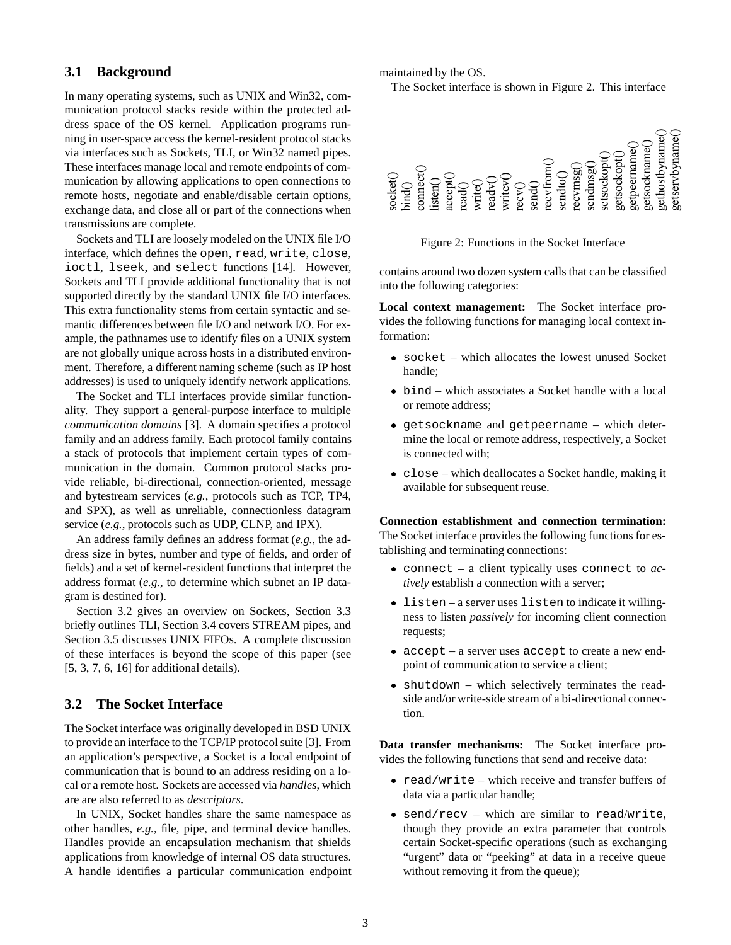### **3.1 Background**

In many operating systems, such as UNIX and Win32, communication protocol stacks reside within the protected address space of the OS kernel. Application programs running in user-space access the kernel-resident protocol stacks via interfaces such as Sockets, TLI, or Win32 named pipes. These interfaces manage local and remote endpoints of communication by allowing applications to open connections to remote hosts, negotiate and enable/disable certain options, exchange data, and close all or part of the connections when transmissions are complete.

Sockets and TLI are loosely modeled on the UNIX file I/O interface, which defines the open, read, write, close, ioctl, lseek, and select functions [14]. However, Sockets and TLI provide additional functionality that is not supported directly by the standard UNIX file I/O interfaces. This extra functionality stems from certain syntactic and semantic differences between file I/O and network I/O. For example, the pathnames use to identify files on a UNIX system are not globally unique across hosts in a distributed environment. Therefore, a different naming scheme (such as IP host addresses) is used to uniquely identify network applications.

The Socket and TLI interfaces provide similar functionality. They support a general-purpose interface to multiple *communication domains* [3]. A domain specifies a protocol family and an address family. Each protocol family contains a stack of protocols that implement certain types of communication in the domain. Common protocol stacks provide reliable, bi-directional, connection-oriented, message and bytestream services (*e.g.*, protocols such as TCP, TP4, and SPX), as well as unreliable, connectionless datagram service (*e.g.*, protocols such as UDP, CLNP, and IPX).

An address family defines an address format (*e.g.,* the address size in bytes, number and type of fields, and order of fields) and a set of kernel-resident functions that interpret the address format (*e.g.,* to determine which subnet an IP datagram is destined for).

Section 3.2 gives an overview on Sockets, Section 3.3 briefly outlines TLI, Section 3.4 covers STREAM pipes, and Section 3.5 discusses UNIX FIFOs. A complete discussion of these interfaces is beyond the scope of this paper (see [5, 3, 7, 6, 16] for additional details).

# **3.2 The Socket Interface**

The Socket interface was originally developed in BSD UNIX to provide an interface to the TCP/IP protocol suite [3]. From an application's perspective, a Socket is a local endpoint of communication that is bound to an address residing on a local or a remote host. Sockets are accessed via *handles*, which are are also referred to as *descriptors*.

In UNIX, Socket handles share the same namespace as other handles, *e.g.*, file, pipe, and terminal device handles. Handles provide an encapsulation mechanism that shields applications from knowledge of internal OS data structures. A handle identifies a particular communication endpoint maintained by the OS.

The Socket interface is shown in Figure 2. This interface



Figure 2: Functions in the Socket Interface

contains around two dozen system calls that can be classified into the following categories:

**Local context management:** The Socket interface provides the following functions for managing local context information:

- socket which allocates the lowest unused Socket handle;
- bind which associates a Socket handle with a local or remote address;
- getsockname and getpeername which determine the local or remote address, respectively, a Socket is connected with;
- close which deallocates a Socket handle, making it available for subsequent reuse.

**Connection establishment and connection termination:** The Socket interface provides the following functions for establishing and terminating connections:

- connect a client typically uses connect to *actively* establish a connection with a server;
- listen a server uses listen to indicate it willingness to listen *passively* for incoming client connection requests;
- accept a server uses accept to create a new endpoint of communication to service a client;
- shutdown which selectively terminates the readside and/or write-side stream of a bi-directional connection.

**Data transfer mechanisms:** The Socket interface provides the following functions that send and receive data:

- read/write which receive and transfer buffers of data via a particular handle;
- send/recv which are similar to read/write, though they provide an extra parameter that controls certain Socket-specific operations (such as exchanging "urgent" data or "peeking" at data in a receive queue without removing it from the queue);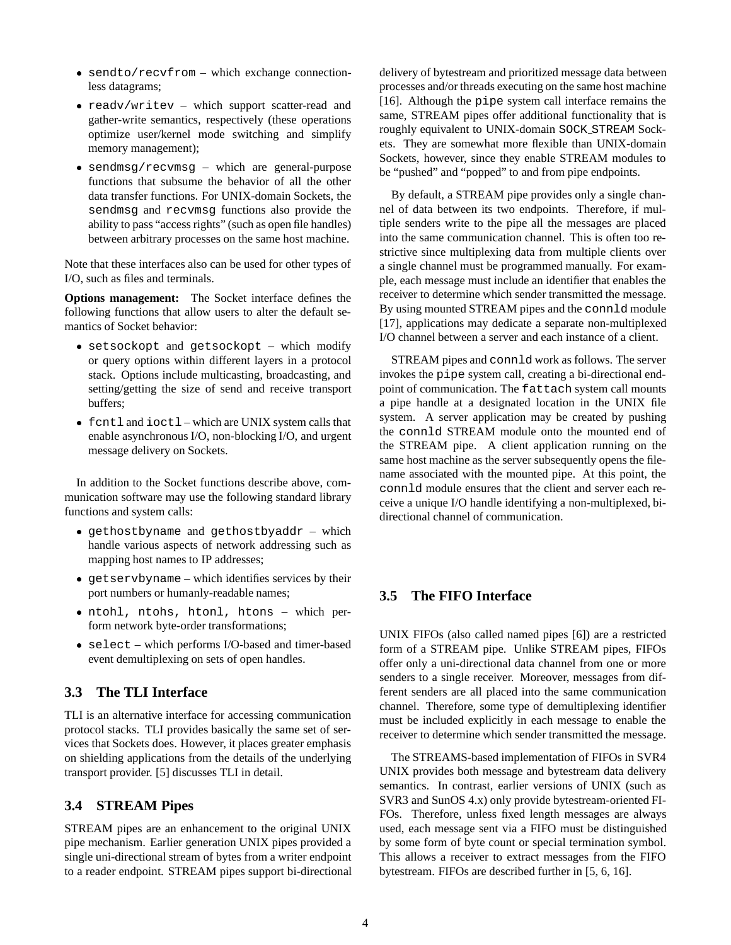- sendto/recvfrom which exchange connectionless datagrams;
- readv/writev which support scatter-read and gather-write semantics, respectively (these operations optimize user/kernel mode switching and simplify memory management);
- sendmsg/recvmsg which are general-purpose functions that subsume the behavior of all the other data transfer functions. For UNIX-domain Sockets, the sendmsg and recvmsg functions also provide the ability to pass "access rights" (such as open file handles) between arbitrary processes on the same host machine.

Note that these interfaces also can be used for other types of I/O, such as files and terminals.

**Options management:** The Socket interface defines the following functions that allow users to alter the default semantics of Socket behavior:

- setsockopt and getsockopt which modify or query options within different layers in a protocol stack. Options include multicasting, broadcasting, and setting/getting the size of send and receive transport buffers;
- fcntl and ioctl which are UNIX system calls that enable asynchronous I/O, non-blocking I/O, and urgent message delivery on Sockets.

In addition to the Socket functions describe above, communication software may use the following standard library functions and system calls:

- gethostbyname and gethostbyaddr which handle various aspects of network addressing such as mapping host names to IP addresses;
- getservbyname which identifies services by their port numbers or humanly-readable names;
- ntohl, ntohs, htonl, htons which perform network byte-order transformations;
- select which performs I/O-based and timer-based event demultiplexing on sets of open handles.

# **3.3 The TLI Interface**

TLI is an alternative interface for accessing communication protocol stacks. TLI provides basically the same set of services that Sockets does. However, it places greater emphasis on shielding applications from the details of the underlying transport provider. [5] discusses TLI in detail.

### **3.4 STREAM Pipes**

STREAM pipes are an enhancement to the original UNIX pipe mechanism. Earlier generation UNIX pipes provided a single uni-directional stream of bytes from a writer endpoint to a reader endpoint. STREAM pipes support bi-directional delivery of bytestream and prioritized message data between processes and/or threads executing on the same host machine [16]. Although the pipe system call interface remains the same, STREAM pipes offer additional functionality that is roughly equivalent to UNIX-domain SOCK STREAM Sockets. They are somewhat more flexible than UNIX-domain Sockets, however, since they enable STREAM modules to be "pushed" and "popped" to and from pipe endpoints.

By default, a STREAM pipe provides only a single channel of data between its two endpoints. Therefore, if multiple senders write to the pipe all the messages are placed into the same communication channel. This is often too restrictive since multiplexing data from multiple clients over a single channel must be programmed manually. For example, each message must include an identifier that enables the receiver to determine which sender transmitted the message. By using mounted STREAM pipes and the connld module [17], applications may dedicate a separate non-multiplexed I/O channel between a server and each instance of a client.

STREAM pipes and connld work as follows. The server invokes the pipe system call, creating a bi-directional endpoint of communication. The fattach system call mounts a pipe handle at a designated location in the UNIX file system. A server application may be created by pushing the connld STREAM module onto the mounted end of the STREAM pipe. A client application running on the same host machine as the server subsequently opens the filename associated with the mounted pipe. At this point, the connld module ensures that the client and server each receive a unique I/O handle identifying a non-multiplexed, bidirectional channel of communication.

## **3.5 The FIFO Interface**

UNIX FIFOs (also called named pipes [6]) are a restricted form of a STREAM pipe. Unlike STREAM pipes, FIFOs offer only a uni-directional data channel from one or more senders to a single receiver. Moreover, messages from different senders are all placed into the same communication channel. Therefore, some type of demultiplexing identifier must be included explicitly in each message to enable the receiver to determine which sender transmitted the message.

The STREAMS-based implementation of FIFOs in SVR4 UNIX provides both message and bytestream data delivery semantics. In contrast, earlier versions of UNIX (such as SVR3 and SunOS 4.x) only provide bytestream-oriented FI-FOs. Therefore, unless fixed length messages are always used, each message sent via a FIFO must be distinguished by some form of byte count or special termination symbol. This allows a receiver to extract messages from the FIFO bytestream. FIFOs are described further in [5, 6, 16].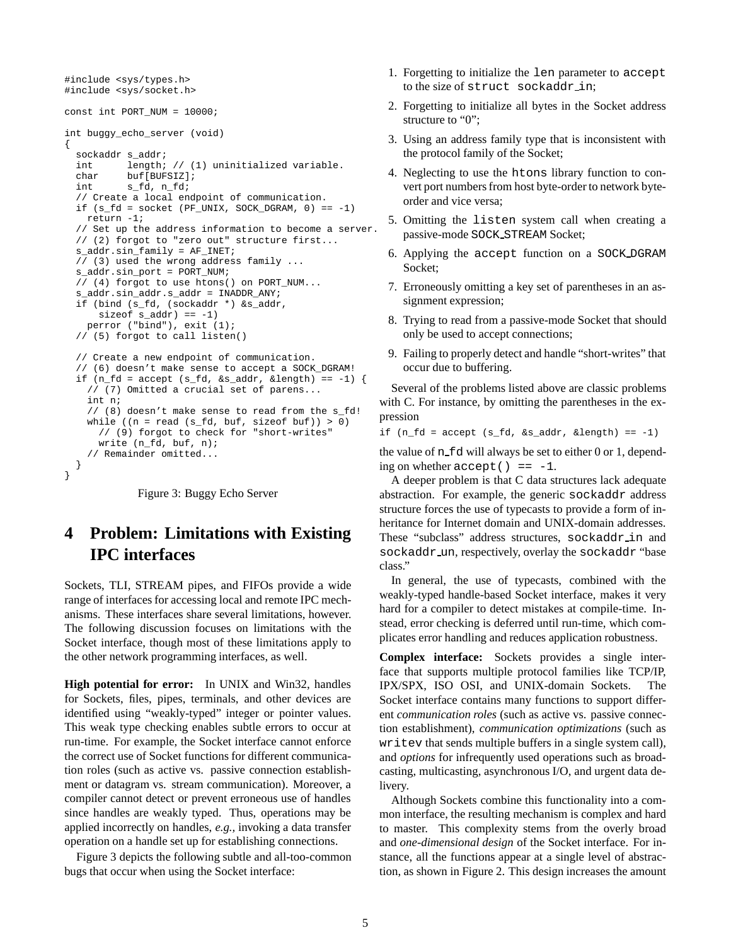```
#include <sys/types.h>
#include <sys/socket.h>
const int PORT_NUM = 10000;
int buggy_echo_server (void)
{
 sockaddr s_addr;
  int length; // (1) uninitialized variable.
  char buf[BUFSIZ];
  int s_fd, n_fd;
  // Create a local endpoint of communication.
  if (s_fd = socket (PF_UNIX, SOCK_DGRAM, 0) == -1)return -1;
  // Set up the address information to become a server.
  // (2) forgot to "zero out" structure first...
  s_addr.sin_family = AF_INET;
  // (3) used the wrong address family ...
  s_addr.sin_port = PORT_NUM;
  // (4) forgot to use htons() on PORT_NUM...
  s_addr.sin_addr.s_addr = INADDR_ANY;
  if (bind (s_fd, (sockaddr *) &s_addr,
      sizeof s\_addr) == -1)
   perror ("bind"), exit (1);
  // (5) forgot to call listen()
  // Create a new endpoint of communication.
  // (6) doesn't make sense to accept a SOCK_DGRAM!
  if (n_fd = accept (s_fd, & s_dddr, & length) == -1) {
    // (7) Omitted a crucial set of parens...
   int n;
    // (8) doesn't make sense to read from the s_fd!
    while ((n = read (s_fd, but, sizeof but)) > 0)// (9) forgot to check for "short-writes"
      write (n_fd, buf, n);
    // Remainder omitted...
  }
}
```


# **4 Problem: Limitations with Existing IPC interfaces**

Sockets, TLI, STREAM pipes, and FIFOs provide a wide range of interfaces for accessing local and remote IPC mechanisms. These interfaces share several limitations, however. The following discussion focuses on limitations with the Socket interface, though most of these limitations apply to the other network programming interfaces, as well.

**High potential for error:** In UNIX and Win32, handles for Sockets, files, pipes, terminals, and other devices are identified using "weakly-typed" integer or pointer values. This weak type checking enables subtle errors to occur at run-time. For example, the Socket interface cannot enforce the correct use of Socket functions for different communication roles (such as active vs. passive connection establishment or datagram vs. stream communication). Moreover, a compiler cannot detect or prevent erroneous use of handles since handles are weakly typed. Thus, operations may be applied incorrectly on handles, *e.g.,* invoking a data transfer operation on a handle set up for establishing connections.

Figure 3 depicts the following subtle and all-too-common bugs that occur when using the Socket interface:

- 1. Forgetting to initialize the len parameter to accept to the size of struct sockaddr in;
- 2. Forgetting to initialize all bytes in the Socket address structure to "0";
- 3. Using an address family type that is inconsistent with the protocol family of the Socket;
- 4. Neglecting to use the htons library function to convert port numbers from host byte-order to network byteorder and vice versa;
- 5. Omitting the listen system call when creating a passive-mode SOCK STREAM Socket;
- 6. Applying the accept function on a SOCK DGRAM Socket;
- 7. Erroneously omitting a key set of parentheses in an assignment expression;
- 8. Trying to read from a passive-mode Socket that should only be used to accept connections;
- 9. Failing to properly detect and handle "short-writes" that occur due to buffering.

Several of the problems listed above are classic problems with C. For instance, by omitting the parentheses in the expression

if  $(n_fd = accept (s_fd, & s_dddr, & length) == -1)$ 

the value of  $n_f$  fd will always be set to either 0 or 1, depending on whether  $accept() == -1$ .

A deeper problem is that C data structures lack adequate abstraction. For example, the generic sockaddr address structure forces the use of typecasts to provide a form of inheritance for Internet domain and UNIX-domain addresses. These "subclass" address structures, sockaddr in and sockaddr un, respectively, overlay the sockaddr "base class."

In general, the use of typecasts, combined with the weakly-typed handle-based Socket interface, makes it very hard for a compiler to detect mistakes at compile-time. Instead, error checking is deferred until run-time, which complicates error handling and reduces application robustness.

**Complex interface:** Sockets provides a single interface that supports multiple protocol families like TCP/IP, IPX/SPX, ISO OSI, and UNIX-domain Sockets. The Socket interface contains many functions to support different *communication roles* (such as active vs. passive connection establishment), *communication optimizations* (such as writev that sends multiple buffers in a single system call), and *options* for infrequently used operations such as broadcasting, multicasting, asynchronous I/O, and urgent data delivery.

Although Sockets combine this functionality into a common interface, the resulting mechanism is complex and hard to master. This complexity stems from the overly broad and *one-dimensional design* of the Socket interface. For instance, all the functions appear at a single level of abstraction, as shown in Figure 2. This design increases the amount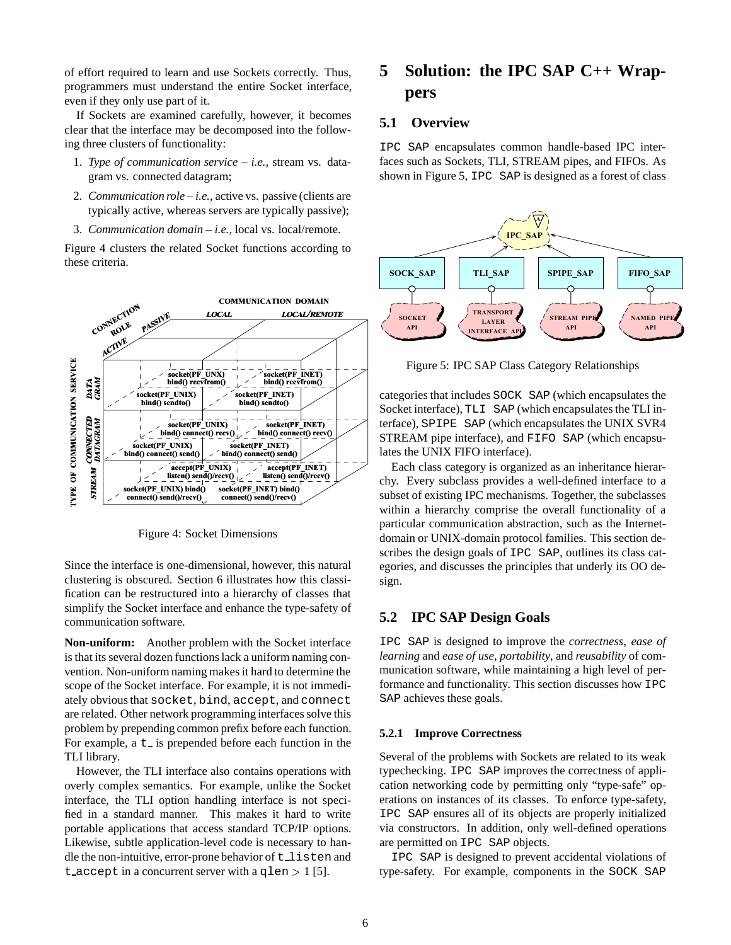of effort required to learn and use Sockets correctly. Thus, programmers must understand the entire Socket interface, even if they only use part of it.

If Sockets are examined carefully, however, it becomes clear that the interface may be decomposed into the following three clusters of functionality:

- 1. *Type of communication service i.e.,* stream vs. datagram vs. connected datagram;
- 2. *Communication role i.e.,* active vs. passive (clients are typically active, whereas servers are typically passive);
- 3. *Communication domain i.e.,* local vs. local/remote.

Figure 4 clusters the related Socket functions according to these criteria.



Figure 4: Socket Dimensions

Since the interface is one-dimensional, however, this natural clustering is obscured. Section 6 illustrates how this classification can be restructured into a hierarchy of classes that simplify the Socket interface and enhance the type-safety of communication software.

**Non-uniform:** Another problem with the Socket interface is that its several dozen functions lack a uniform naming convention. Non-uniform naming makes it hard to determine the scope of the Socket interface. For example, it is not immediately obvious that socket, bind, accept, and connect are related. Other network programming interfaces solve this problem by prepending common prefix before each function. For example,  $a \t L$  is prepended before each function in the TLI library.

However, the TLI interface also contains operations with overly complex semantics. For example, unlike the Socket interface, the TLI option handling interface is not specified in a standard manner. This makes it hard to write portable applications that access standard TCP/IP options. Likewise, subtle application-level code is necessary to handle the non-intuitive, error-prone behavior of t listen and t accept in a concurrent server with a qlen  $> 1$  [5].

# **5 Solution: the IPC SAP C++ Wrappers**

### **5.1 Overview**

IPC SAP encapsulates common handle-based IPC interfaces such as Sockets, TLI, STREAM pipes, and FIFOs. As shown in Figure 5, IPC SAP is designed as a forest of class



Figure 5: IPC SAP Class Category Relationships

categories that includes SOCK SAP (which encapsulates the Socket interface), TLI SAP (which encapsulates the TLI interface), SPIPE SAP (which encapsulates the UNIX SVR4 STREAM pipe interface), and FIFO SAP (which encapsulates the UNIX FIFO interface).

Each class category is organized as an inheritance hierarchy. Every subclass provides a well-defined interface to a subset of existing IPC mechanisms. Together, the subclasses within a hierarchy comprise the overall functionality of a particular communication abstraction, such as the Internetdomain or UNIX-domain protocol families. This section describes the design goals of IPC SAP, outlines its class categories, and discusses the principles that underly its OO design.

### **5.2 IPC SAP Design Goals**

IPC SAP is designed to improve the *correctness*, *ease of learning* and *ease of use*, *portability*, and *reusability* of communication software, while maintaining a high level of performance and functionality. This section discusses how IPC SAP achieves these goals.

#### **5.2.1 Improve Correctness**

Several of the problems with Sockets are related to its weak typechecking. IPC SAP improves the correctness of application networking code by permitting only "type-safe" operations on instances of its classes. To enforce type-safety, IPC SAP ensures all of its objects are properly initialized via constructors. In addition, only well-defined operations are permitted on IPC SAP objects.

IPC SAP is designed to prevent accidental violations of type-safety. For example, components in the SOCK SAP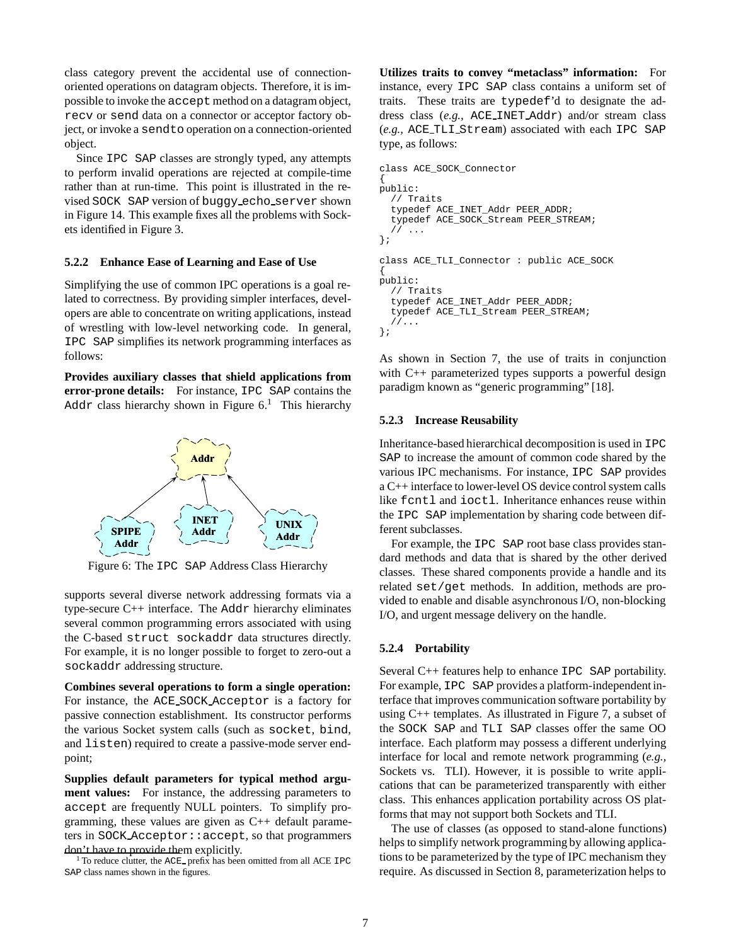class category prevent the accidental use of connectionoriented operations on datagram objects. Therefore, it is impossible to invoke the accept method on a datagram object, recv or send data on a connector or acceptor factory object, or invoke a sendto operation on a connection-oriented object.

Since IPC SAP classes are strongly typed, any attempts to perform invalid operations are rejected at compile-time rather than at run-time. This point is illustrated in the revised SOCK SAP version of buggy echo server shown in Figure 14. This example fixes all the problems with Sockets identified in Figure 3.

#### **5.2.2 Enhance Ease of Learning and Ease of Use**

Simplifying the use of common IPC operations is a goal related to correctness. By providing simpler interfaces, developers are able to concentrate on writing applications, instead of wrestling with low-level networking code. In general, IPC SAP simplifies its network programming interfaces as follows:

**Provides auxiliary classes that shield applications from error-prone details:** For instance, IPC SAP contains the Addr class hierarchy shown in Figure  $6<sup>1</sup>$  This hierarchy



Figure 6: The IPC SAP Address Class Hierarchy

supports several diverse network addressing formats via a type-secure C++ interface. The Addr hierarchy eliminates several common programming errors associated with using the C-based struct sockaddr data structures directly. For example, it is no longer possible to forget to zero-out a sockaddr addressing structure.

**Combines several operations to form a single operation:** For instance, the ACE SOCK Acceptor is a factory for passive connection establishment. Its constructor performs the various Socket system calls (such as socket, bind, and listen) required to create a passive-mode server endpoint;

**Supplies default parameters for typical method argument values:** For instance, the addressing parameters to accept are frequently NULL pointers. To simplify programming, these values are given as C++ default parameters in SOCK Acceptor: : accept, so that programmers don't have to provide them explicitly.

<sup>1</sup> To reduce clutter, the ACE prefix has been omitted from all ACE IPC SAP class names shown in the figures.

**Utilizes traits to convey "metaclass" information:** For instance, every IPC SAP class contains a uniform set of traits. These traits are typedef'd to designate the address class (*e.g.,* ACE INET Addr) and/or stream class (*e.g.,* ACE TLI Stream) associated with each IPC SAP type, as follows:

```
class ACE_SOCK_Connector
{
public:
  // Traits
  typedef ACE_INET_Addr PEER_ADDR;
  typedef ACE_SOCK_Stream PEER_STREAM;
    // ...
};
class ACE_TLI_Connector : public ACE_SOCK
{
public:
  // Traits
  typedef ACE_INET_Addr PEER_ADDR;
  typedef ACE_TLI_Stream PEER_STREAM;
   //...
};
```
As shown in Section 7, the use of traits in conjunction with C++ parameterized types supports a powerful design paradigm known as "generic programming" [18].

#### **5.2.3 Increase Reusability**

Inheritance-based hierarchical decomposition is used in IPC SAP to increase the amount of common code shared by the various IPC mechanisms. For instance, IPC SAP provides a C++ interface to lower-level OS device control system calls like fcntl and ioctl. Inheritance enhances reuse within the IPC SAP implementation by sharing code between different subclasses.

For example, the IPC SAP root base class provides standard methods and data that is shared by the other derived classes. These shared components provide a handle and its related set/get methods. In addition, methods are provided to enable and disable asynchronous I/O, non-blocking I/O, and urgent message delivery on the handle.

#### **5.2.4 Portability**

Several C++ features help to enhance IPC SAP portability. For example, IPC SAP provides a platform-independent interface that improves communication software portability by using C++ templates. As illustrated in Figure 7, a subset of the SOCK SAP and TLI SAP classes offer the same OO interface. Each platform may possess a different underlying interface for local and remote network programming (*e.g.,* Sockets vs. TLI). However, it is possible to write applications that can be parameterized transparently with either class. This enhances application portability across OS platforms that may not support both Sockets and TLI.

The use of classes (as opposed to stand-alone functions) helps to simplify network programming by allowing applications to be parameterized by the type of IPC mechanism they require. As discussed in Section 8, parameterization helps to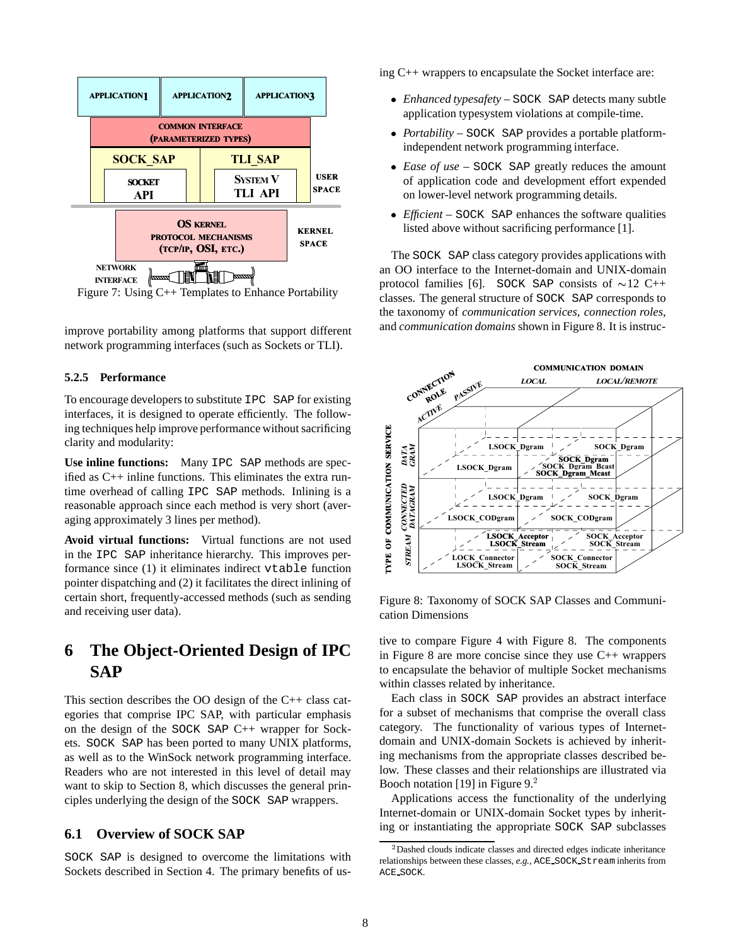

Figure 7: Using C++ Templates to Enhance Portability

improve portability among platforms that support different network programming interfaces (such as Sockets or TLI).

#### **5.2.5 Performance**

To encourage developers to substitute IPC SAP for existing interfaces, it is designed to operate efficiently. The following techniques help improve performance without sacrificing clarity and modularity:

**Use inline functions:** Many IPC SAP methods are specified as C++ inline functions. This eliminates the extra runtime overhead of calling IPC SAP methods. Inlining is a reasonable approach since each method is very short (averaging approximately 3 lines per method).

**Avoid virtual functions:** Virtual functions are not used in the IPC SAP inheritance hierarchy. This improves performance since (1) it eliminates indirect vtable function pointer dispatching and (2) it facilitates the direct inlining of certain short, frequently-accessed methods (such as sending and receiving user data).

# **6 The Object-Oriented Design of IPC SAP**

This section describes the OO design of the C++ class categories that comprise IPC SAP, with particular emphasis on the design of the SOCK SAP C++ wrapper for Sockets. SOCK SAP has been ported to many UNIX platforms, as well as to the WinSock network programming interface. Readers who are not interested in this level of detail may want to skip to Section 8, which discusses the general principles underlying the design of the SOCK SAP wrappers.

# **6.1 Overview of SOCK SAP**

SOCK SAP is designed to overcome the limitations with Sockets described in Section 4. The primary benefits of using C++ wrappers to encapsulate the Socket interface are:

- *Enhanced typesafety* SOCK SAP detects many subtle application typesystem violations at compile-time.
- *Portability* SOCK SAP provides a portable platformindependent network programming interface.
- *Ease of use* SOCK SAP greatly reduces the amount of application code and development effort expended on lower-level network programming details.
- *Efficient* SOCK SAP enhances the software qualities listed above without sacrificing performance [1].

The SOCK SAP class category provides applications with an OO interface to the Internet-domain and UNIX-domain protocol families [6]. SOCK SAP consists of  $\sim$ 12 C++ classes. The general structure of SOCK SAP corresponds to the taxonomy of *communication services*, *connection roles*, and *communication domains* shown in Figure 8. It is instruc-



Figure 8: Taxonomy of SOCK SAP Classes and Communication Dimensions

tive to compare Figure 4 with Figure 8. The components in Figure 8 are more concise since they use C++ wrappers to encapsulate the behavior of multiple Socket mechanisms within classes related by inheritance.

Each class in SOCK SAP provides an abstract interface for a subset of mechanisms that comprise the overall class category. The functionality of various types of Internetdomain and UNIX-domain Sockets is achieved by inheriting mechanisms from the appropriate classes described below. These classes and their relationships are illustrated via Booch notation [19] in Figure  $9<sup>2</sup>$ 

Applications access the functionality of the underlying Internet-domain or UNIX-domain Socket types by inheriting or instantiating the appropriate SOCK SAP subclasses

<sup>&</sup>lt;sup>2</sup> Dashed clouds indicate classes and directed edges indicate inheritance relationships between these classes, *e.g.*, ACE\_SOCK\_Stream inherits from ACE SOCK.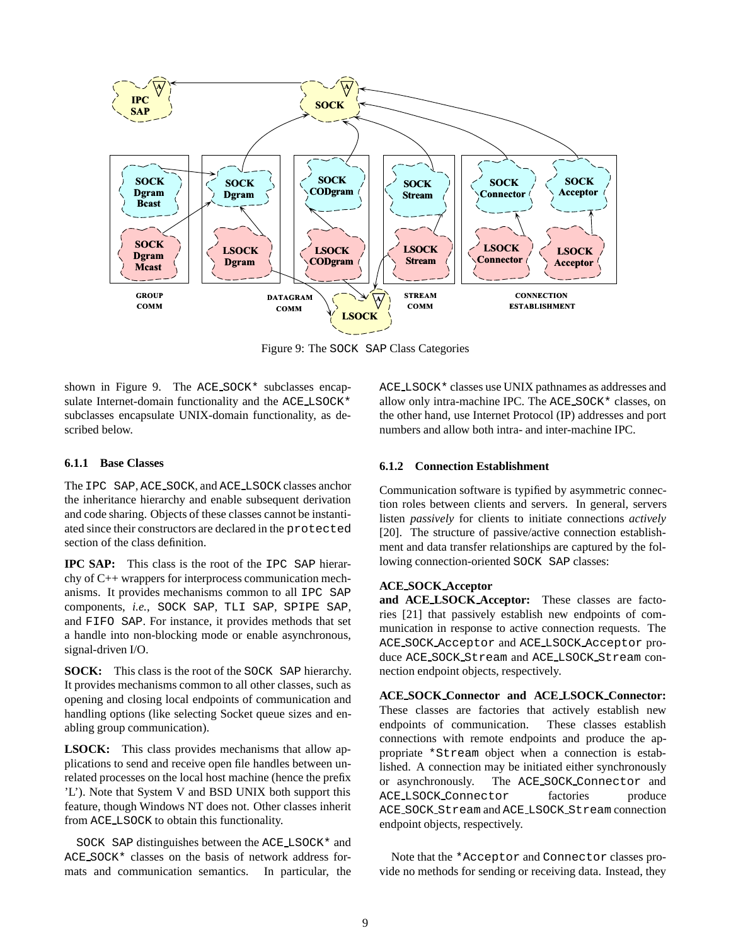

Figure 9: The SOCK SAP Class Categories

shown in Figure 9. The ACE SOCK\* subclasses encapsulate Internet-domain functionality and the ACE LSOCK\* subclasses encapsulate UNIX-domain functionality, as described below.

#### **6.1.1 Base Classes**

The IPC SAP, ACE SOCK, and ACE LSOCK classes anchor the inheritance hierarchy and enable subsequent derivation and code sharing. Objects of these classes cannot be instantiated since their constructors are declared in the protected section of the class definition.

**IPC SAP:** This class is the root of the IPC SAP hierarchy of C++ wrappers for interprocess communication mechanisms. It provides mechanisms common to all IPC SAP components, *i.e.*, SOCK SAP, TLI SAP, SPIPE SAP, and FIFO SAP. For instance, it provides methods that set a handle into non-blocking mode or enable asynchronous, signal-driven I/O.

**SOCK:** This class is the root of the SOCK SAP hierarchy. It provides mechanisms common to all other classes, such as opening and closing local endpoints of communication and handling options (like selecting Socket queue sizes and enabling group communication).

**LSOCK:** This class provides mechanisms that allow applications to send and receive open file handles between unrelated processes on the local host machine (hence the prefix 'L'). Note that System V and BSD UNIX both support this feature, though Windows NT does not. Other classes inherit from ACE LSOCK to obtain this functionality.

SOCK SAP distinguishes between the ACE LSOCK\* and ACE SOCK\* classes on the basis of network address formats and communication semantics. In particular, the ACE LSOCK\* classes use UNIX pathnames as addresses and allow only intra-machine IPC. The ACE SOCK\* classes, on the other hand, use Internet Protocol (IP) addresses and port numbers and allow both intra- and inter-machine IPC.

#### **6.1.2 Connection Establishment**

Communication software is typified by asymmetric connection roles between clients and servers. In general, servers listen *passively* for clients to initiate connections *actively* [20]. The structure of passive/active connection establishment and data transfer relationships are captured by the following connection-oriented SOCK SAP classes:

#### **ACE SOCK Acceptor**

**and ACE LSOCK Acceptor:** These classes are factories [21] that passively establish new endpoints of communication in response to active connection requests. The ACE SOCK Acceptor and ACE LSOCK Acceptor produce ACE SOCK Stream and ACE LSOCK Stream connection endpoint objects, respectively.

**ACE SOCK Connector and ACE LSOCK Connector:** These classes are factories that actively establish new endpoints of communication. These classes establish connections with remote endpoints and produce the appropriate \*Stream object when a connection is established. A connection may be initiated either synchronously or asynchronously. The ACE SOCK Connector and ACE LSOCK Connector factories produce ACE SOCK Stream and ACE LSOCK Stream connection endpoint objects, respectively.

Note that the \*Acceptor and Connector classes provide no methods for sending or receiving data. Instead, they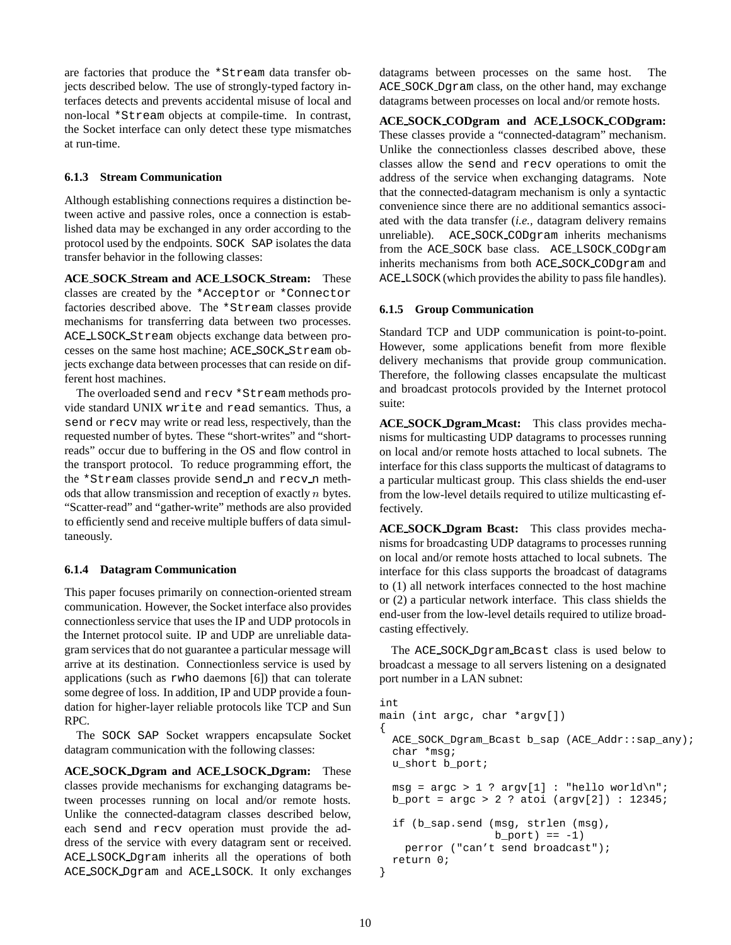are factories that produce the \*Stream data transfer objects described below. The use of strongly-typed factory interfaces detects and prevents accidental misuse of local and non-local \*Stream objects at compile-time. In contrast, the Socket interface can only detect these type mismatches at run-time.

#### **6.1.3 Stream Communication**

Although establishing connections requires a distinction between active and passive roles, once a connection is established data may be exchanged in any order according to the protocol used by the endpoints. SOCK SAP isolates the data transfer behavior in the following classes:

**ACE SOCK Stream and ACE LSOCK Stream:** These classes are created by the \*Acceptor or \*Connector factories described above. The \*Stream classes provide mechanisms for transferring data between two processes. ACE LSOCK Stream objects exchange data between processes on the same host machine; ACE SOCK Stream objects exchange data between processes that can reside on different host machines.

The overloaded send and recv \*Stream methods provide standard UNIX write and read semantics. Thus, a send or recv may write or read less, respectively, than the requested number of bytes. These "short-writes" and "shortreads" occur due to buffering in the OS and flow control in the transport protocol. To reduce programming effort, the the \*Stream classes provide send n and recv n methods that allow transmission and reception of exactly <sup>n</sup> bytes. "Scatter-read" and "gather-write" methods are also provided to efficiently send and receive multiple buffers of data simultaneously.

### **6.1.4 Datagram Communication**

This paper focuses primarily on connection-oriented stream communication. However, the Socket interface also provides connectionless service that uses the IP and UDP protocols in the Internet protocol suite. IP and UDP are unreliable datagram services that do not guarantee a particular message will arrive at its destination. Connectionless service is used by applications (such as rwho daemons [6]) that can tolerate some degree of loss. In addition, IP and UDP provide a foundation for higher-layer reliable protocols like TCP and Sun RPC.

The SOCK SAP Socket wrappers encapsulate Socket datagram communication with the following classes:

**ACE SOCK Dgram and ACE LSOCK Dgram:** These classes provide mechanisms for exchanging datagrams between processes running on local and/or remote hosts. Unlike the connected-datagram classes described below, each send and recv operation must provide the address of the service with every datagram sent or received. ACE LSOCK Dgram inherits all the operations of both ACE SOCK Dgram and ACE LSOCK. It only exchanges datagrams between processes on the same host. The ACE SOCK Dgram class, on the other hand, may exchange datagrams between processes on local and/or remote hosts.

**ACE SOCK CODgram and ACE LSOCK CODgram:** These classes provide a "connected-datagram" mechanism. Unlike the connectionless classes described above, these classes allow the send and recv operations to omit the address of the service when exchanging datagrams. Note that the connected-datagram mechanism is only a syntactic convenience since there are no additional semantics associated with the data transfer (*i.e.,* datagram delivery remains unreliable). ACE SOCK CODgram inherits mechanisms from the ACE SOCK base class. ACE LSOCK CODgram inherits mechanisms from both ACE SOCK CODgram and ACE LSOCK (which provides the ability to pass file handles).

### **6.1.5 Group Communication**

Standard TCP and UDP communication is point-to-point. However, some applications benefit from more flexible delivery mechanisms that provide group communication. Therefore, the following classes encapsulate the multicast and broadcast protocols provided by the Internet protocol suite:

**ACE SOCK Dgram Mcast:** This class provides mechanisms for multicasting UDP datagrams to processes running on local and/or remote hosts attached to local subnets. The interface for this class supports the multicast of datagrams to a particular multicast group. This class shields the end-user from the low-level details required to utilize multicasting effectively.

**ACE SOCK Dgram Bcast:** This class provides mechanisms for broadcasting UDP datagrams to processes running on local and/or remote hosts attached to local subnets. The interface for this class supports the broadcast of datagrams to (1) all network interfaces connected to the host machine or (2) a particular network interface. This class shields the end-user from the low-level details required to utilize broadcasting effectively.

The ACE SOCK Dgram Bcast class is used below to broadcast a message to all servers listening on a designated port number in a LAN subnet:

```
int
main (int argc, char *argv[])
{
  ACE_SOCK_Dgram_Bcast b_sap (ACE_Addr::sap_any);
  char *msg;
  u_short b_port;
  msg = argc > 1 ? argv[1] : "hello world\n";
  b_{\text{port}} = \text{argc} > 2 ? atoi (\text{argv}[2]) : 12345;
  if (b_sap.send (msg, strlen (msg),
                   b_{port}) == -1)perror ("can't send broadcast");
  return 0;
}
```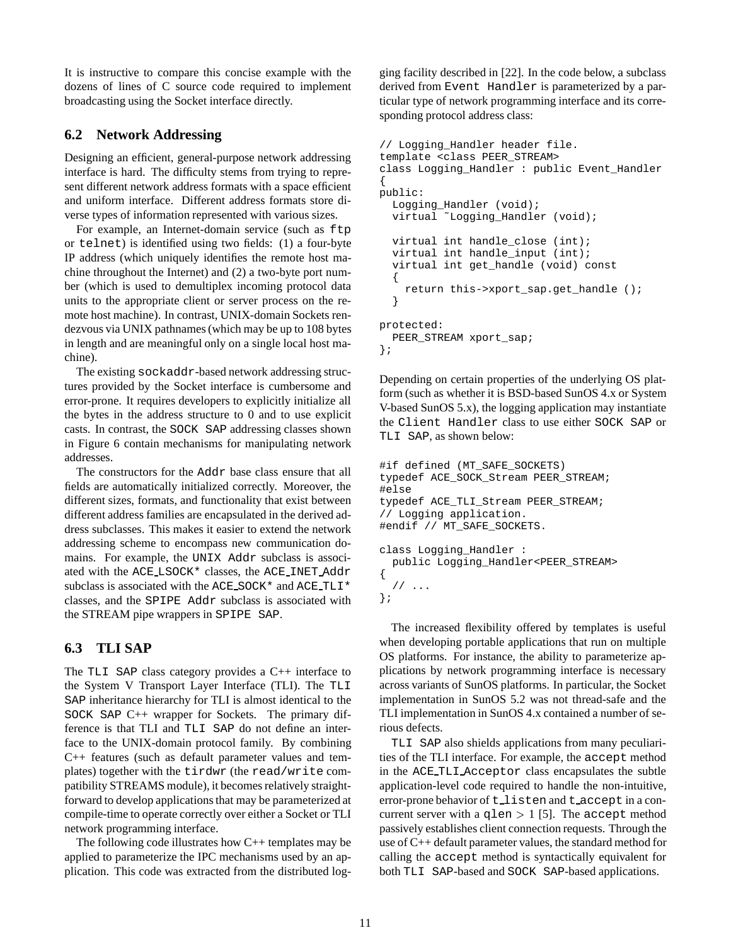It is instructive to compare this concise example with the dozens of lines of C source code required to implement broadcasting using the Socket interface directly.

### **6.2 Network Addressing**

Designing an efficient, general-purpose network addressing interface is hard. The difficulty stems from trying to represent different network address formats with a space efficient and uniform interface. Different address formats store diverse types of information represented with various sizes.

For example, an Internet-domain service (such as ftp or telnet) is identified using two fields: (1) a four-byte IP address (which uniquely identifies the remote host machine throughout the Internet) and (2) a two-byte port number (which is used to demultiplex incoming protocol data units to the appropriate client or server process on the remote host machine). In contrast, UNIX-domain Sockets rendezvous via UNIX pathnames (which may be up to 108 bytes in length and are meaningful only on a single local host machine).

The existing sockaddr-based network addressing structures provided by the Socket interface is cumbersome and error-prone. It requires developers to explicitly initialize all the bytes in the address structure to 0 and to use explicit casts. In contrast, the SOCK SAP addressing classes shown in Figure 6 contain mechanisms for manipulating network addresses.

The constructors for the Addr base class ensure that all fields are automatically initialized correctly. Moreover, the different sizes, formats, and functionality that exist between different address families are encapsulated in the derived address subclasses. This makes it easier to extend the network addressing scheme to encompass new communication domains. For example, the UNIX Addr subclass is associated with the ACE LSOCK\* classes, the ACE INET Addr subclass is associated with the ACE\_SOCK\* and ACE\_TLI\* classes, and the SPIPE Addr subclass is associated with the STREAM pipe wrappers in SPIPE SAP.

# **6.3 TLI SAP**

The TLI SAP class category provides a C++ interface to the System V Transport Layer Interface (TLI). The TLI SAP inheritance hierarchy for TLI is almost identical to the SOCK SAP C++ wrapper for Sockets. The primary difference is that TLI and TLI SAP do not define an interface to the UNIX-domain protocol family. By combining C++ features (such as default parameter values and templates) together with the tirdwr (the read/write compatibility STREAMS module), it becomes relatively straightforward to develop applications that may be parameterized at compile-time to operate correctly over either a Socket or TLI network programming interface.

The following code illustrates how  $C_{++}$  templates may be applied to parameterize the IPC mechanisms used by an application. This code was extracted from the distributed logging facility described in [22]. In the code below, a subclass derived from Event Handler is parameterized by a particular type of network programming interface and its corresponding protocol address class:

```
// Logging_Handler header file.
template <class PEER_STREAM>
class Logging_Handler : public Event_Handler
{
public:
  Logging_Handler (void);
  virtual ˜Logging_Handler (void);
  virtual int handle_close (int);
  virtual int handle_input (int);
  virtual int get_handle (void) const
  {
    return this->xport_sap.get_handle ();
  }
protected:
 PEER_STREAM xport_sap;
};
```
Depending on certain properties of the underlying OS platform (such as whether it is BSD-based SunOS 4.x or System V-based SunOS 5.x), the logging application may instantiate the Client Handler class to use either SOCK SAP or

```
#if defined (MT_SAFE_SOCKETS)
typedef ACE_SOCK_Stream PEER_STREAM;
#else
typedef ACE_TLI_Stream PEER_STREAM;
// Logging application.
#endif // MT_SAFE_SOCKETS.
class Logging_Handler :
  public Logging_Handler<PEER_STREAM>
{
  // ...
};
```
TLI SAP, as shown below:

The increased flexibility offered by templates is useful when developing portable applications that run on multiple OS platforms. For instance, the ability to parameterize applications by network programming interface is necessary across variants of SunOS platforms. In particular, the Socket implementation in SunOS 5.2 was not thread-safe and the TLI implementation in SunOS 4.x contained a number of serious defects.

TLI SAP also shields applications from many peculiarities of the TLI interface. For example, the accept method in the ACE TLI Acceptor class encapsulates the subtle application-level code required to handle the non-intuitive, error-prone behavior of tlisten and taccept in a concurrent server with a qlen  $> 1$  [5]. The accept method passively establishes client connection requests. Through the use of C++ default parameter values, the standard method for calling the accept method is syntactically equivalent for both TLI SAP-based and SOCK SAP-based applications.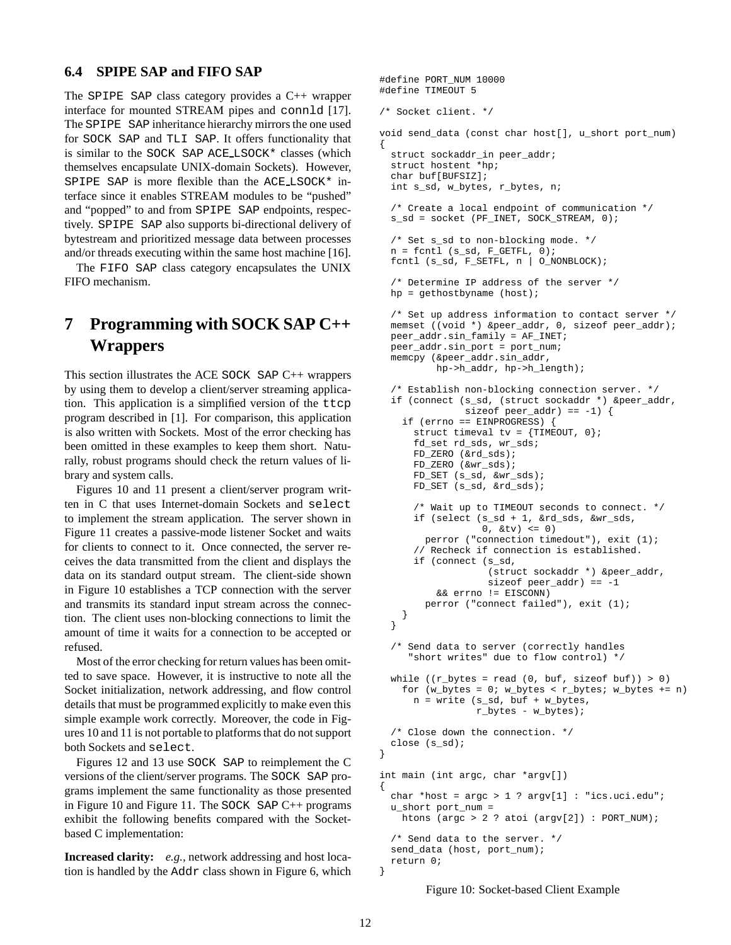### **6.4 SPIPE SAP and FIFO SAP**

The SPIPE SAP class category provides a C++ wrapper interface for mounted STREAM pipes and connld [17]. The SPIPE SAP inheritance hierarchy mirrors the one used for SOCK SAP and TLI SAP. It offers functionality that is similar to the SOCK SAP ACE LSOCK\* classes (which themselves encapsulate UNIX-domain Sockets). However, SPIPE SAP is more flexible than the ACE LSOCK\* interface since it enables STREAM modules to be "pushed" and "popped" to and from SPIPE SAP endpoints, respectively. SPIPE SAP also supports bi-directional delivery of bytestream and prioritized message data between processes and/or threads executing within the same host machine [16].

The FIFO SAP class category encapsulates the UNIX FIFO mechanism.

# **7 Programming with SOCK SAP C++ Wrappers**

This section illustrates the ACE SOCK SAP C++ wrappers by using them to develop a client/server streaming application. This application is a simplified version of the ttcp program described in [1]. For comparison, this application is also written with Sockets. Most of the error checking has been omitted in these examples to keep them short. Naturally, robust programs should check the return values of library and system calls.

Figures 10 and 11 present a client/server program written in C that uses Internet-domain Sockets and select to implement the stream application. The server shown in Figure 11 creates a passive-mode listener Socket and waits for clients to connect to it. Once connected, the server receives the data transmitted from the client and displays the data on its standard output stream. The client-side shown in Figure 10 establishes a TCP connection with the server and transmits its standard input stream across the connection. The client uses non-blocking connections to limit the amount of time it waits for a connection to be accepted or refused.

Most of the error checking for return values has been omitted to save space. However, it is instructive to note all the Socket initialization, network addressing, and flow control details that must be programmed explicitly to make even this simple example work correctly. Moreover, the code in Figures 10 and 11 is not portable to platforms that do not support both Sockets and select.

Figures 12 and 13 use SOCK SAP to reimplement the C versions of the client/server programs. The SOCK SAP programs implement the same functionality as those presented in Figure 10 and Figure 11. The SOCK SAP C++ programs exhibit the following benefits compared with the Socketbased C implementation:

**Increased clarity:** *e.g.,* network addressing and host location is handled by the Addr class shown in Figure 6, which

```
#define PORT_NUM 10000
#define TIMEOUT 5
/* Socket client. */
void send_data (const char host[], u_short port_num)
{
 struct sockaddr_in peer_addr;
 struct hostent *hp;
  char buf[BUFSIZ];
 int s_sd, w_bytes, r_bytes, n;
  /* Create a local endpoint of communication */
 s_sd = socket (PF_INET, SOCK_STREAM, 0);
  /* Set s_sd to non-blocking mode. */
 n = fcnt1 (s_s/d, F_GETFL, 0);fcntl (s_sd, F_SETFL, n | O_NONBLOCK);
  /* Determine IP address of the server */
 hp = qethostbyname (host);/* Set up address information to contact server */
 memset ((void *) &peer_addr, 0, sizeof peer_addr);
 peer_addr.sin_family = AF_INET;
 peer_addr.sin_port = port_num;
 memcpy (&peer_addr.sin_addr,
         hp->h_addr, hp->h_length);
  /* Establish non-blocking connection server. */
  if (connect (s_sd, (struct sockaddr *) &peer_addr,
              sizeof peer_addr) == -1) {
    if (errno == EINPROGRESS) {
      struct timeval tv = \{TIMEOUT, 0\};fd_set rd_sds, wr_sds;
     FD_ZERO (&rd_sds);
     FD_ZERO (&wr_sds);
     FD_SET (s_sd, &wr_sds);
     FD_SET (s_sd, &rd_sds);
      /* Wait up to TIMEOUT seconds to connect. */
      if (select (s_sd + 1, &rd_sds, &wr_sds,
                  0, \&tv <= 0)
       perror ("connection timedout"), exit (1);
      // Recheck if connection is established.
      if (connect (s_sd,
                   (struct sockaddr *) &peer_addr,
                  sizeof peer_addr) == -1
          && errno != EISCONN)
        perror ("connect failed"), exit (1);
    }
 }
  /* Send data to server (correctly handles
     "short writes" due to flow control) */
 while ((r_bytes = read (0, but, sizeof but)) > 0)for (w_bytes = 0; w_bytes < r_bytes; w_bytes += n)n = write (s_sd, buf + w_bytes,
                 r_bytes - w_bytes);
  /* Close down the connection. */
 close (s_sd);
}
int main (int argc, char *argv[])
{
 char *host = \arg z > 1 ? \arg v[1] : "ics.uci.edu";
 u_short port_num =
   htons (argc > 2 ? atoi (argv[2]) : PORT_NUM);
  /* Send data to the server. */
  send_data (host, port_num);
 return 0;
```
Figure 10: Socket-based Client Example

}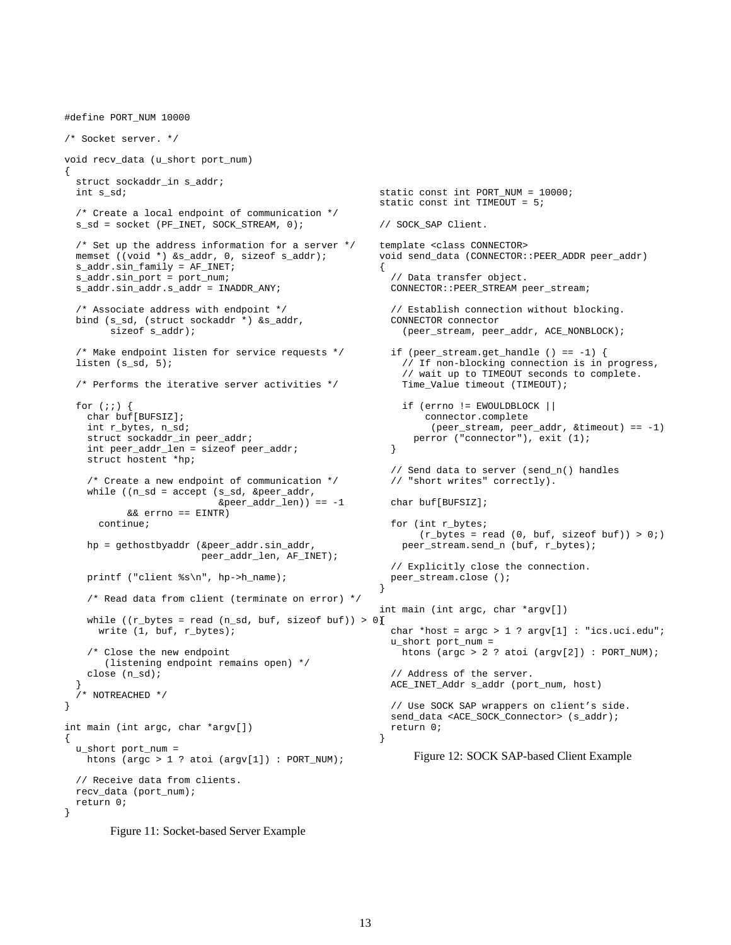```
#define PORT_NUM 10000
/* Socket server. */
void recv_data (u_short port_num)
{
  struct sockaddr_in s_addr;
  int s_sd;
  /* Create a local endpoint of communication */
 s_sd = socket (PF_INET, SOCK_STREAM, 0);
  /* Set up the address information for a server */
 memset ((void *) &s_addr, 0, sizeof s_addr);
  s_addr.sin_family = AF_INET;
  s_addr.sin_port = port_num;
  s_addr.sin_addr.s_addr = INADDR_ANY;
  /* Associate address with endpoint */
 bind (s_sd, (struct sockaddr *) &s_addr,
        sizeof s_addr);
  /* Make endpoint listen for service requests */
  listen (s_sd, 5);
  /* Performs the iterative server activities */
  for (i; j) {
    char buf[BUFSIZ];
    int r_bytes, n_sd;
    struct sockaddr_in peer_addr;
    int peer_addr_len = sizeof peer_addr;
    struct hostent *hp;
    /* Create a new endpoint of communication */
    while ((n_sd = accept (s_sd, &peer_addr,
                           \&peer\_addr\_len)) == -1&& errno == EINTR)
     continue;
   hp = gethostbyaddr (&peer_addr.sin_addr,
                        peer_addr_len, AF_INET);
   printf ("client %s\n", hp->h_name);
    /* Read data from client (terminate on error) */
    while ((r bytes = read (n sd, buf, sizeof buf)) > 0)
     write (1, buf, r_bytes);
    /* Close the new endpoint
       (listening endpoint remains open) */
    close (n_sd);
  }
  /* NOTREACHED */
}
int main (int argc, char *argv[])
{
  u_short port_num =
   htons (argc > 1 ? atoi (argv[1]) : PORT_NUM);
  // Receive data from clients.
 recv_data (port_num);
 return 0;
}
                                                        static const int PORT_NUM = 10000;
                                                        static const int TIMEOUT = 5;
                                                         {
                                                          }
                                                        }
                                                          return 0;
                                                        }
```


```
// SOCK_SAP Client.
template <class CONNECTOR>
void send_data (CONNECTOR::PEER_ADDR peer_addr)
  // Data transfer object.
  CONNECTOR::PEER_STREAM peer_stream;
  // Establish connection without blocking.
  CONNECTOR connector
    (peer_stream, peer_addr, ACE_NONBLOCK);
  if (peer_stream.get_handle () == -1) {
    // If non-blocking connection is in progress,
    // wait up to TIMEOUT seconds to complete.
   Time_Value timeout (TIMEOUT);
    if (errno != EWOULDBLOCK ||
        connector.complete
         (peer_stream, peer_addr, &timeout) == -1)
      perror ("connector"), exit (1);
 // Send data to server (send_n() handles
 // "short writes" correctly).
 char buf[BUFSIZ];
  for (int r_bytes;
       (r_bytes = read (0, but, sizeof but)) > 0;
   peer_stream.send_n (buf, r_bytes);
  // Explicitly close the connection.
  peer_stream.close ();
int main (int argc, char *argv[])
  char * host = argc > 1 ? argv[1] : "ics.uci.edu";
```
u\_short port\_num = htons (argc > 2 ? atoi (argv[2]) : PORT NUM); // Address of the server. ACE\_INET\_Addr s\_addr (port\_num, host)

// Use SOCK SAP wrappers on client's side. send\_data <ACE\_SOCK\_Connector> (s\_addr);

Figure 12: SOCK SAP-based Client Example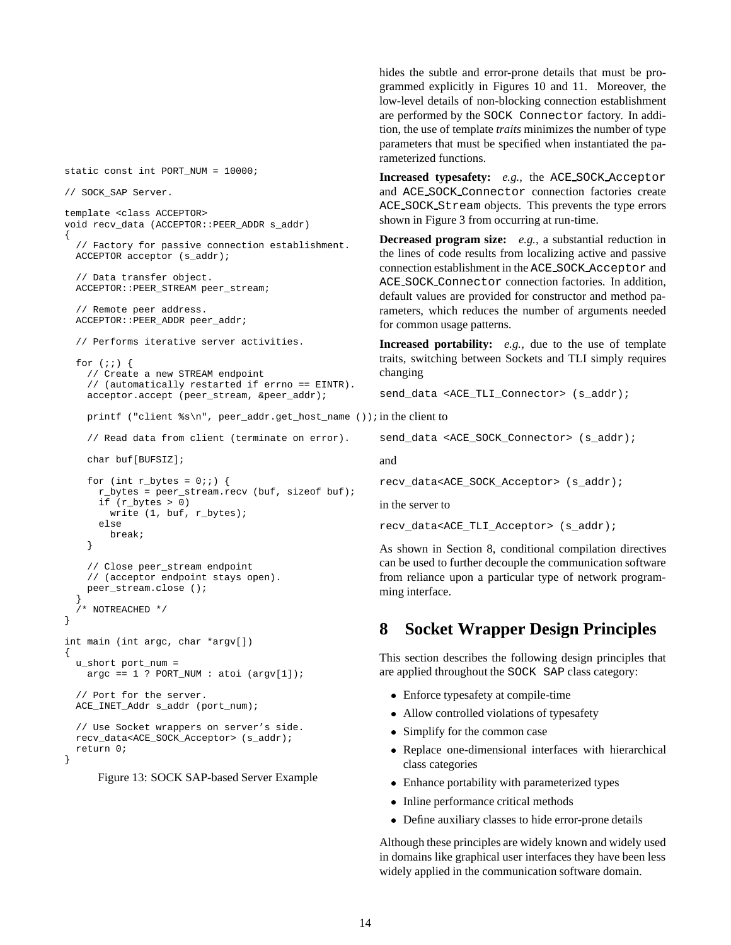```
static const int PORT NUM = 10000;
// SOCK_SAP Server.
template <class ACCEPTOR>
void recv_data (ACCEPTOR::PEER_ADDR s_addr)
{
  // Factory for passive connection establishment.
  ACCEPTOR acceptor (s_addr);
  // Data transfer object.
  ACCEPTOR::PEER_STREAM peer_stream;
  // Remote peer address.
  ACCEPTOR::PEER_ADDR peer_addr;
  // Performs iterative server activities.
  for (i; i) {
    // Create a new STREAM endpoint
    // (automatically restarted if errno == EINTR).
    acceptor.accept (peer_stream, &peer_addr);
    printf ("client %s\n", peer_addr.get_host_name ());                            in the client to
    // Read data from client (terminate on error).
    char buf[BUFSIZ];
    for (int r_bytes = 0;;) {
      r_bytes = peer_stream.recv (buf, sizeof buf);
      if (r_bytes > 0)
        write (1, buf, r_bytes);
      else
        break;
    }
    // Close peer_stream endpoint
    // (acceptor endpoint stays open).
    peer_stream.close ();
  }
   /* NOTREACHED */
}
int main (int argc, char *argv[])
{
  u_short port_num =
    \arg c == 1 ? \text{PORT\_NUM} : \text{atoi} (\arg v[1]);// Port for the server.
  ACE_INET_Addr s_addr (port_num);
  // Use Socket wrappers on server's side.
  recv_data<ACE_SOCK_Acceptor> (s_addr);
  return 0;
}
```
Figure 13: SOCK SAP-based Server Example

hides the subtle and error-prone details that must be programmed explicitly in Figures 10 and 11. Moreover, the low-level details of non-blocking connection establishment are performed by the SOCK Connector factory. In addition, the use of template *traits* minimizes the number of type parameters that must be specified when instantiated the parameterized functions.

**Increased typesafety:** *e.g.,* the ACE SOCK Acceptor and ACE SOCK Connector connection factories create ACE SOCK Stream objects. This prevents the type errors shown in Figure 3 from occurring at run-time.

**Decreased program size:** *e.g.,* a substantial reduction in the lines of code results from localizing active and passive connection establishment in the ACE SOCK Acceptor and ACE SOCK Connector connection factories. In addition, default values are provided for constructor and method parameters, which reduces the number of arguments needed for common usage patterns.

**Increased portability:** *e.g.,* due to the use of template traits, switching between Sockets and TLI simply requires changing

send\_data <ACE\_TLI\_Connector> (s\_addr);

send data <ACE\_SOCK\_Connector> (s\_addr);

and

recv\_data<ACE\_SOCK\_Acceptor> (s\_addr);

in the server to

recv\_data<ACE\_TLI\_Acceptor> (s\_addr);

As shown in Section 8, conditional compilation directives can be used to further decouple the communication software from reliance upon a particular type of network programming interface.

# **8 Socket Wrapper Design Principles**

This section describes the following design principles that are applied throughout the SOCK SAP class category:

- Enforce typesafety at compile-time
- Allow controlled violations of typesafety
- Simplify for the common case
- Replace one-dimensional interfaces with hierarchical class categories
- Enhance portability with parameterized types
- Inline performance critical methods
- Define auxiliary classes to hide error-prone details

Although these principles are widely known and widely used in domains like graphical user interfaces they have been less widely applied in the communication software domain.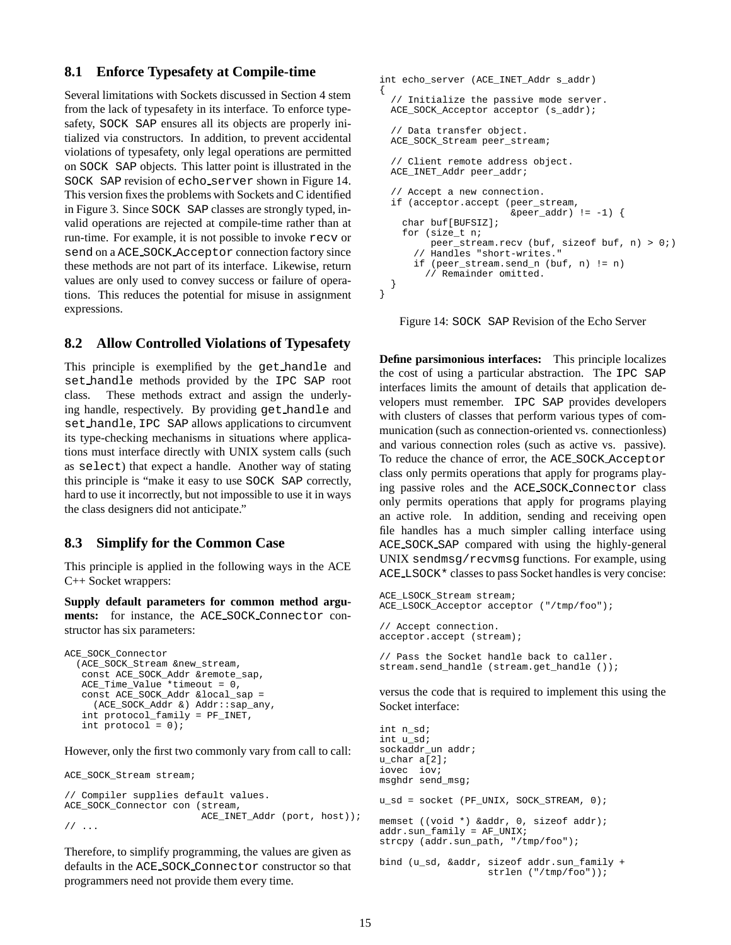#### **8.1 Enforce Typesafety at Compile-time**

Several limitations with Sockets discussed in Section 4 stem from the lack of typesafety in its interface. To enforce typesafety, SOCK SAP ensures all its objects are properly initialized via constructors. In addition, to prevent accidental violations of typesafety, only legal operations are permitted on SOCK SAP objects. This latter point is illustrated in the SOCK SAP revision of echo server shown in Figure 14. This version fixes the problems with Sockets and C identified in Figure 3. Since SOCK SAP classes are strongly typed, invalid operations are rejected at compile-time rather than at run-time. For example, it is not possible to invoke recv or send on a ACE SOCK Acceptor connection factory since these methods are not part of its interface. Likewise, return values are only used to convey success or failure of operations. This reduces the potential for misuse in assignment expressions.

#### **8.2 Allow Controlled Violations of Typesafety**

This principle is exemplified by the get handle and set handle methods provided by the IPC SAP root class. These methods extract and assign the underlying handle, respectively. By providing get handle and set handle, IPC SAP allows applications to circumvent its type-checking mechanisms in situations where applications must interface directly with UNIX system calls (such as select) that expect a handle. Another way of stating this principle is "make it easy to use SOCK SAP correctly, hard to use it incorrectly, but not impossible to use it in ways the class designers did not anticipate."

#### **8.3 Simplify for the Common Case**

This principle is applied in the following ways in the ACE C++ Socket wrappers:

**Supply default parameters for common method arguments:** for instance, the ACE SOCK Connector constructor has six parameters:

```
ACE_SOCK_Connector
  (ACE_SOCK_Stream &new_stream,
   const ACE_SOCK_Addr &remote_sap,
   ACE Time Value *timeout = 0,const ACE_SOCK_Addr &local_sap =
     (ACE_SOCK_Addr &) Addr::sap_any,
   int protocol_family = PF_INET,
   int protocol = 0);
```
However, only the first two commonly vary from call to call:

ACE SOCK Stream stream;

```
// Compiler supplies default values.
ACE_SOCK_Connector con (stream,
                        ACE INET Addr (port, host));
// ...
```
Therefore, to simplify programming, the values are given as defaults in the ACE SOCK Connector constructor so that programmers need not provide them every time.

```
int echo server (ACE_INET_Addr s_addr)
{
  // Initialize the passive mode server.
 ACE_SOCK_Acceptor acceptor (s_addr);
  // Data transfer object.
 ACE_SOCK_Stream peer_stream;
  // Client remote address object.
 ACE_INET_Addr peer_addr;
 // Accept a new connection.
 if (acceptor.accept (peer_stream,
                        \text{Eper}_\text{addr} ! = -1 \{char buf[BUFSIZ];
   for (size_t n;
         peer_stream.recv (buf, sizeof buf, n) > 0;)
      // Handles "short-writes."
      if (peer_stream.send_n (buf, n) != n)
       // Remainder omitted.
 }
}
```
Figure 14: SOCK SAP Revision of the Echo Server

**Define parsimonious interfaces:** This principle localizes the cost of using a particular abstraction. The IPC SAP interfaces limits the amount of details that application developers must remember. IPC SAP provides developers with clusters of classes that perform various types of communication (such as connection-oriented vs. connectionless) and various connection roles (such as active vs. passive). To reduce the chance of error, the ACE SOCK Acceptor class only permits operations that apply for programs playing passive roles and the ACE SOCK Connector class only permits operations that apply for programs playing an active role. In addition, sending and receiving open file handles has a much simpler calling interface using ACE SOCK SAP compared with using the highly-general UNIX sendmsg/recvmsg functions. For example, using ACE LSOCK\* classes to pass Socket handles is very concise:

```
ACE_LSOCK_Stream stream;
ACE_LSOCK_Acceptor acceptor ("/tmp/foo");
// Accept connection.
acceptor.accept (stream);
// Pass the Socket handle back to caller.
stream.send_handle (stream.get_handle ());
```
versus the code that is required to implement this using the Socket interface:

```
int n_sd;
int u_sd;
sockaddr_un addr;
u_char a[2];
iovec iov;
msghdr send_msg;
u_sd = socket (PF_UNIX, SOCK_STREAM, 0);
memset ((void *) &addr, 0, sizeof addr);
addr.sun_family = AF_UNIX;
strcpy (addr.sun_path, "/tmp/foo");
bind (u_sd, &addr, sizeof addr.sun_family +
                   strlen ("/tmp/foo"));
```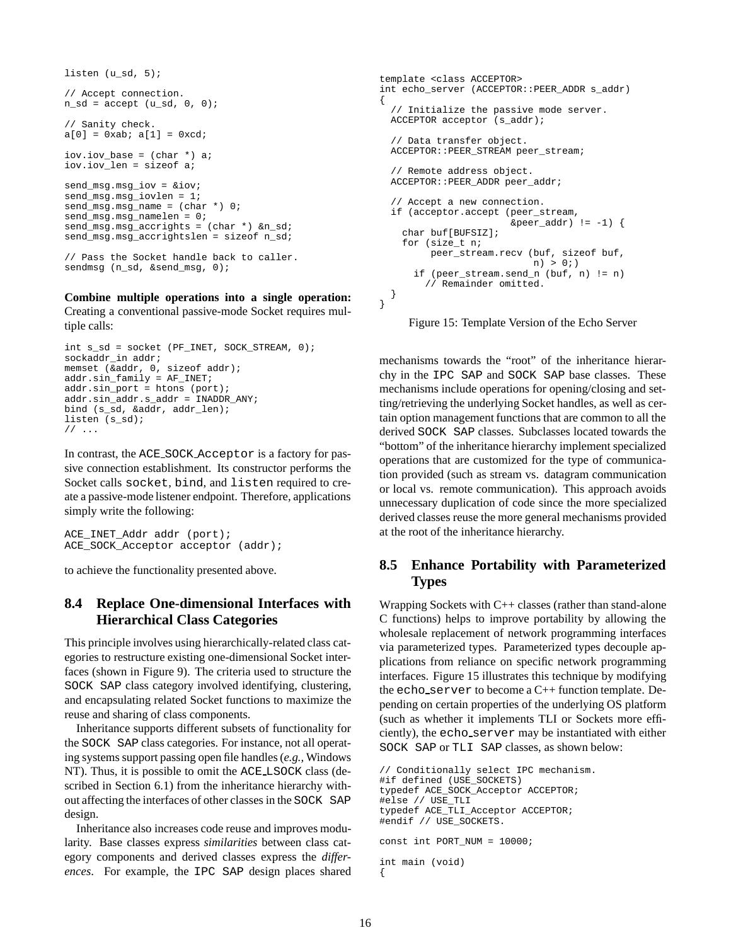```
listen (u_sd, 5);
// Accept connection.
n_sd = accept (u_sd, 0, 0);
// Sanity check.
a[0] = 0xab; a[1] = 0xcd;
iov.iov_base = (char *) a;
iov.iov_len = sizeof a;
send_msg.msg_iov = &iov;
send_{msg} \nmg{divlen} = 1;send_msg.msg_name = (char *) 0;
send_msg.msg_namelen = 0;
send_msg.msg_accrights = (char *) &n_sd;
send_msg.msg_accrightslen = sizeof n_sd;
// Pass the Socket handle back to caller.
sendmsg (n_sd, &send_msg, 0);
```
**Combine multiple operations into a single operation:**

Creating a conventional passive-mode Socket requires multiple calls:

```
int s_sd = socket (PF_INET, SOCK_STREAM, 0);
sockaddr_in addr;
memset (&addr, 0, sizeof addr);
addr.sin_family = AF_INET;
addr.sin_port = htons (port);
addr.sin_addr.s_addr = INADDR_ANY;
bind (s_sd, &addr, addr_len);
listen (s sd);
// ...
```
In contrast, the ACE SOCK Acceptor is a factory for passive connection establishment. Its constructor performs the Socket calls socket, bind, and listen required to create a passive-mode listener endpoint. Therefore, applications simply write the following:

```
ACE_INET_Addr addr (port);
ACE_SOCK_Acceptor acceptor (addr);
```
to achieve the functionality presented above.

# **8.4 Replace One-dimensional Interfaces with Hierarchical Class Categories**

This principle involves using hierarchically-related class categories to restructure existing one-dimensional Socket interfaces (shown in Figure 9). The criteria used to structure the SOCK SAP class category involved identifying, clustering, and encapsulating related Socket functions to maximize the reuse and sharing of class components.

Inheritance supports different subsets of functionality for the SOCK SAP class categories. For instance, not all operating systems support passing open file handles (*e.g.,* Windows NT). Thus, it is possible to omit the ACE LSOCK class (described in Section 6.1) from the inheritance hierarchy without affecting the interfaces of other classes in the SOCK SAP design.

Inheritance also increases code reuse and improves modularity. Base classes express *similarities* between class category components and derived classes express the *differences*. For example, the IPC SAP design places shared

```
template <class ACCEPTOR>
int echo_server (ACCEPTOR::PEER ADDR s addr)
{
  // Initialize the passive mode server.
 ACCEPTOR acceptor (s_addr);
  // Data transfer object.
 ACCEPTOR::PEER_STREAM peer_stream;
  // Remote address object.
 ACCEPTOR::PEER_ADDR peer_addr;
  // Accept a new connection.
 if (acceptor.accept (peer_stream,
                       \& \text{peer\_addr} != -1) {
    char buf[BUFSIZ];
   for (size_t n;
         peer_stream.recv (buf, sizeof buf,
                           n) > 0;)
      if (peer_stream.send_n (buf, n) != n)
        // Remainder omitted.
 }
}
```
Figure 15: Template Version of the Echo Server

mechanisms towards the "root" of the inheritance hierarchy in the IPC SAP and SOCK SAP base classes. These mechanisms include operations for opening/closing and setting/retrieving the underlying Socket handles, as well as certain option management functions that are common to all the derived SOCK SAP classes. Subclasses located towards the "bottom" of the inheritance hierarchy implement specialized operations that are customized for the type of communication provided (such as stream vs. datagram communication or local vs. remote communication). This approach avoids unnecessary duplication of code since the more specialized derived classes reuse the more general mechanisms provided at the root of the inheritance hierarchy.

# **8.5 Enhance Portability with Parameterized Types**

Wrapping Sockets with C++ classes (rather than stand-alone C functions) helps to improve portability by allowing the wholesale replacement of network programming interfaces via parameterized types. Parameterized types decouple applications from reliance on specific network programming interfaces. Figure 15 illustrates this technique by modifying the echo server to become a  $C_{++}$  function template. Depending on certain properties of the underlying OS platform (such as whether it implements TLI or Sockets more efficiently), the echo server may be instantiated with either SOCK SAP or TLI SAP classes, as shown below:

```
// Conditionally select IPC mechanism.
#if defined (USE_SOCKETS)
typedef ACE_SOCK_Acceptor ACCEPTOR;
#else // USE_TLI
typedef ACE_TLI_Acceptor ACCEPTOR;
#endif // USE_SOCKETS.
const int PORT_NUM = 10000;
int main (void)
{
```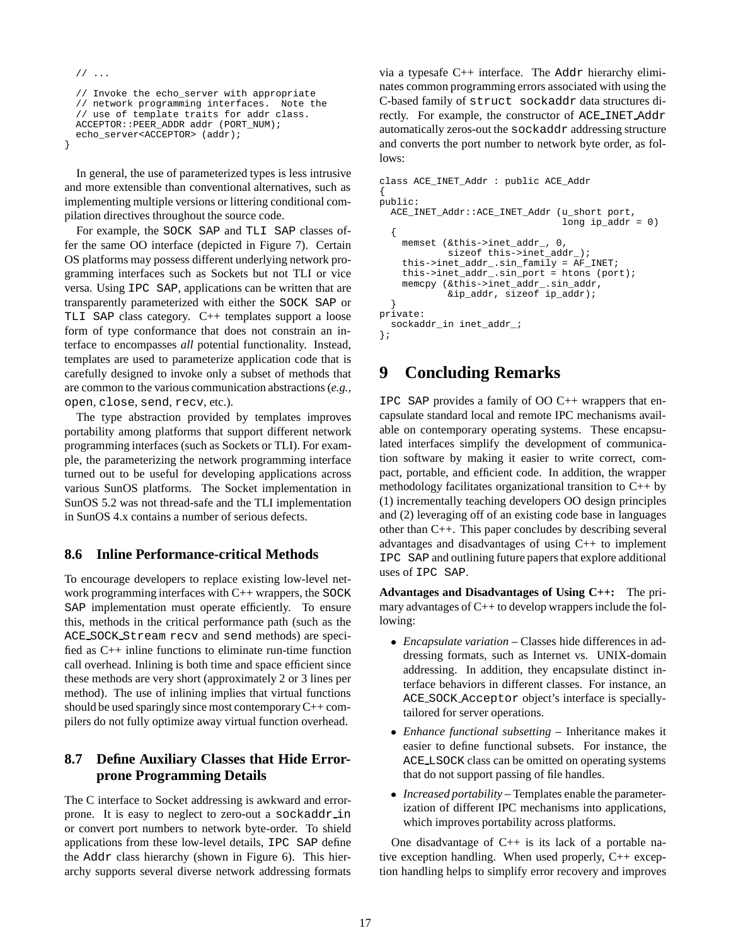```
// ...
 // Invoke the echo_server with appropriate
 // network programming interfaces. Note the
 // use of template traits for addr class.
 ACCEPTOR::PEER_ADDR addr (PORT_NUM);
 echo_server<ACCEPTOR> (addr);
}
```
In general, the use of parameterized types is less intrusive and more extensible than conventional alternatives, such as implementing multiple versions or littering conditional compilation directives throughout the source code.

For example, the SOCK SAP and TLI SAP classes offer the same OO interface (depicted in Figure 7). Certain OS platforms may possess different underlying network programming interfaces such as Sockets but not TLI or vice versa. Using IPC SAP, applications can be written that are transparently parameterized with either the SOCK SAP or TLI SAP class category. C++ templates support a loose form of type conformance that does not constrain an interface to encompasses *all* potential functionality. Instead, templates are used to parameterize application code that is carefully designed to invoke only a subset of methods that are common to the various communication abstractions (*e.g.,* open, close, send, recv, etc.).

The type abstraction provided by templates improves portability among platforms that support different network programming interfaces (such as Sockets or TLI). For example, the parameterizing the network programming interface turned out to be useful for developing applications across various SunOS platforms. The Socket implementation in SunOS 5.2 was not thread-safe and the TLI implementation in SunOS 4.x contains a number of serious defects.

# **8.6 Inline Performance-critical Methods**

To encourage developers to replace existing low-level network programming interfaces with C++ wrappers, the SOCK SAP implementation must operate efficiently. To ensure this, methods in the critical performance path (such as the ACE SOCK Stream recv and send methods) are specified as C++ inline functions to eliminate run-time function call overhead. Inlining is both time and space efficient since these methods are very short (approximately 2 or 3 lines per method). The use of inlining implies that virtual functions should be used sparingly since most contemporary C++ compilers do not fully optimize away virtual function overhead.

# **8.7 Define Auxiliary Classes that Hide Errorprone Programming Details**

The C interface to Socket addressing is awkward and errorprone. It is easy to neglect to zero-out a sockaddr in or convert port numbers to network byte-order. To shield applications from these low-level details, IPC SAP define the Addr class hierarchy (shown in Figure 6). This hierarchy supports several diverse network addressing formats

via a typesafe C++ interface. The Addr hierarchy eliminates common programming errors associated with using the C-based family of struct sockaddr data structures directly. For example, the constructor of ACE INET Addr automatically zeros-out the sockaddr addressing structure and converts the port number to network byte order, as follows:

```
class ACE_INET_Addr : public ACE_Addr
{
public:
  ACE_INET_Addr::ACE_INET_Addr (u_short port,
                                 long ip\_addr = 0)
  {
    memset (&this->inet_addr_, 0,
            sizeof this->inet_addr_);
    this->inet_addr_.sin_family = AF_INET;
    this->inet_addr_.sin_port = htons (port);
    memcpy (&this->inet_addr_.sin_addr,
            &ip_addr, sizeof ip_addr);
  }
private:
 sockaddr_in inet_addr_;
};
```
# **9 Concluding Remarks**

IPC SAP provides a family of  $OO C++$  wrappers that encapsulate standard local and remote IPC mechanisms available on contemporary operating systems. These encapsulated interfaces simplify the development of communication software by making it easier to write correct, compact, portable, and efficient code. In addition, the wrapper methodology facilitates organizational transition to  $C_{++}$  by (1) incrementally teaching developers OO design principles and (2) leveraging off of an existing code base in languages other than C++. This paper concludes by describing several advantages and disadvantages of using C++ to implement IPC SAP and outlining future papers that explore additional uses of IPC SAP.

**Advantages and Disadvantages of Using C++:** The primary advantages of C++ to develop wrappers include the following:

- *Encapsulate variation* Classes hide differences in addressing formats, such as Internet vs. UNIX-domain addressing. In addition, they encapsulate distinct interface behaviors in different classes. For instance, an ACE SOCK Acceptor object's interface is speciallytailored for server operations.
- *Enhance functional subsetting* Inheritance makes it easier to define functional subsets. For instance, the ACE LSOCK class can be omitted on operating systems that do not support passing of file handles.
- *Increased portability* Templates enable the parameterization of different IPC mechanisms into applications, which improves portability across platforms.

One disadvantage of  $C_{++}$  is its lack of a portable native exception handling. When used properly, C++ exception handling helps to simplify error recovery and improves